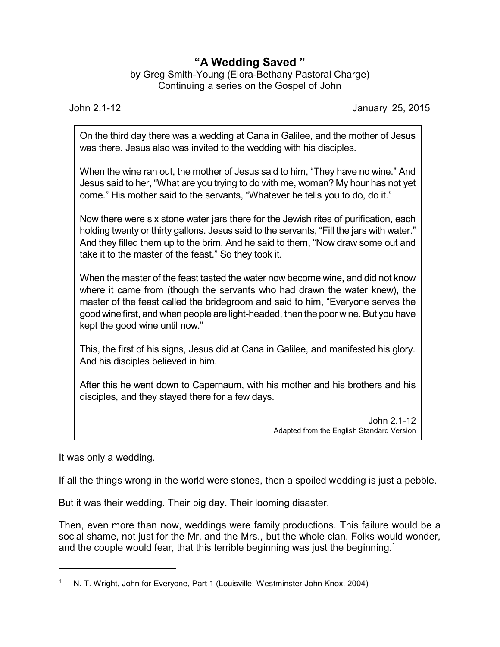## **"A Wedding Saved "**

by Greg Smith-Young (Elora-Bethany Pastoral Charge) Continuing a series on the Gospel of John

John 2.1-12 January 25, 2015

On the third day there was a wedding at Cana in Galilee, and the mother of Jesus was there. Jesus also was invited to the wedding with his disciples.

When the wine ran out, the mother of Jesus said to him, "They have no wine." And Jesus said to her, "What are you trying to do with me, woman? My hour has not yet come." His mother said to the servants, "Whatever he tells you to do, do it."

Now there were six stone water jars there for the Jewish rites of purification, each holding twenty or thirty gallons. Jesus said to the servants, "Fill the jars with water." And they filled them up to the brim. And he said to them, "Now draw some out and take it to the master of the feast." So they took it.

When the master of the feast tasted the water now become wine, and did not know where it came from (though the servants who had drawn the water knew), the master of the feast called the bridegroom and said to him, "Everyone serves the good wine first, and when people are light-headed, then the poor wine. But you have kept the good wine until now."

This, the first of his signs, Jesus did at Cana in Galilee, and manifested his glory. And his disciples believed in him.

After this he went down to Capernaum, with his mother and his brothers and his disciples, and they stayed there for a few days.

> John 2.1-12 Adapted from the English Standard Version

It was only a wedding.

If all the things wrong in the world were stones, then a spoiled wedding is just a pebble.

But it was their wedding. Their big day. Their looming disaster.

Then, even more than now, weddings were family productions. This failure would be a social shame, not just for the Mr. and the Mrs., but the whole clan. Folks would wonder, and the couple would fear, that this terrible beginning was just the beginning.<sup>1</sup>

N. T. Wright, John for Everyone, Part 1 (Louisville: Westminster John Knox, 2004)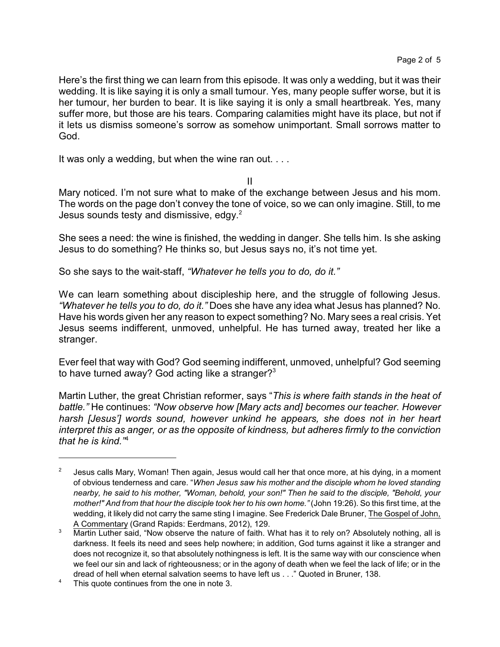Here's the first thing we can learn from this episode. It was only a wedding, but it was their wedding. It is like saying it is only a small tumour. Yes, many people suffer worse, but it is her tumour, her burden to bear. It is like saying it is only a small heartbreak. Yes, many suffer more, but those are his tears. Comparing calamities might have its place, but not if it lets us dismiss someone's sorrow as somehow unimportant. Small sorrows matter to God.

It was only a wedding, but when the wine ran out. . . .

II

Mary noticed. I'm not sure what to make of the exchange between Jesus and his mom. The words on the page don't convey the tone of voice, so we can only imagine. Still, to me Jesus sounds testy and dismissive, edgy. $2$ 

She sees a need: the wine is finished, the wedding in danger. She tells him. Is she asking Jesus to do something? He thinks so, but Jesus says no, it's not time yet.

So she says to the wait-staff, *"Whatever he tells you to do, do it."*

We can learn something about discipleship here, and the struggle of following Jesus. *"Whatever he tells you to do, do it."* Does she have any idea what Jesus has planned? No. Have his words given her any reason to expect something? No. Mary sees a real crisis. Yet Jesus seems indifferent, unmoved, unhelpful. He has turned away, treated her like a stranger.

Ever feel that way with God? God seeming indifferent, unmoved, unhelpful? God seeming to have turned away? God acting like a stranger? $3$ 

Martin Luther, the great Christian reformer, says "*This is where faith stands in the heat of battle."* He continues: *"Now observe how [Mary acts and] becomes our teacher. However harsh [Jesus'] words sound, however unkind he appears, she does not in her heart interpret this as anger, or as the opposite of kindness, but adheres firmly to the conviction that he is kind."*<sup>4</sup>

<sup>2</sup> Jesus calls Mary, Woman! Then again, Jesus would call her that once more, at his dying, in a moment of obvious tenderness and care. "*When Jesus saw his mother and the disciple whom he loved standing nearby, he said to his mother, "Woman, behold, your son!" Then he said to the disciple, "Behold, your mother!" And from that hour the disciple took her to his own home."* (John 19:26). So this first time, at the wedding, it likely did not carry the same sting I imagine. See Frederick Dale Bruner, The Gospel of John, A Commentary (Grand Rapids: Eerdmans, 2012), 129.

<sup>&</sup>lt;sup>3</sup> Martin Luther said, "Now observe the nature of faith. What has it to rely on? Absolutely nothing, all is darkness. It feels its need and sees help nowhere; in addition, God turns against it like a stranger and does not recognize it, so that absolutely nothingness is left. It is the same way with our conscience when we feel our sin and lack of righteousness; or in the agony of death when we feel the lack of life; or in the dread of hell when eternal salvation seems to have left us . . ." Quoted in Bruner, 138.

<sup>&</sup>lt;sup>4</sup> This quote continues from the one in note 3.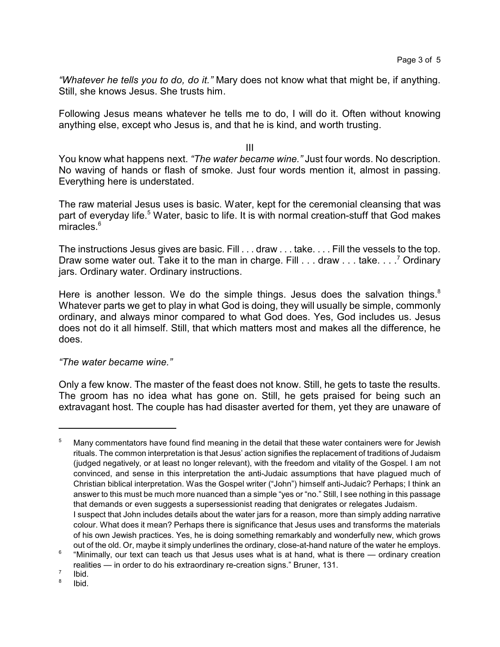*"Whatever he tells you to do, do it."* Mary does not know what that might be, if anything. Still, she knows Jesus. She trusts him.

Following Jesus means whatever he tells me to do, I will do it. Often without knowing anything else, except who Jesus is, and that he is kind, and worth trusting.

III

You know what happens next. *"The water became wine."* Just four words. No description. No waving of hands or flash of smoke. Just four words mention it, almost in passing. Everything here is understated.

The raw material Jesus uses is basic. Water, kept for the ceremonial cleansing that was part of everyday life.<sup>5</sup> Water, basic to life. It is with normal creation-stuff that God makes miracles.<sup>6</sup>

The instructions Jesus gives are basic. Fill . . . draw . . . take. . . . Fill the vessels to the top. Draw some water out. Take it to the man in charge. Fill . . . draw . . . take. . . .<sup>7</sup> Ordinary jars. Ordinary water. Ordinary instructions.

Here is another lesson. We do the simple things. Jesus does the salvation things. $8$ Whatever parts we get to play in what God is doing, they will usually be simple, commonly ordinary, and always minor compared to what God does. Yes, God includes us. Jesus does not do it all himself. Still, that which matters most and makes all the difference, he does.

## *"The water became wine."*

Only a few know. The master of the feast does not know. Still, he gets to taste the results. The groom has no idea what has gone on. Still, he gets praised for being such an extravagant host. The couple has had disaster averted for them, yet they are unaware of

<sup>&</sup>lt;sup>5</sup> Many commentators have found find meaning in the detail that these water containers were for Jewish rituals. The common interpretation is that Jesus' action signifies the replacement of traditions of Judaism (judged negatively, or at least no longer relevant), with the freedom and vitality of the Gospel. I am not convinced, and sense in this interpretation the anti-Judaic assumptions that have plagued much of Christian biblical interpretation. Was the Gospel writer ("John") himself anti-Judaic? Perhaps; I think an answer to this must be much more nuanced than a simple "yes or "no." Still, I see nothing in this passage that demands or even suggests a supersessionist reading that denigrates or relegates Judaism. I suspect that John includes details about the water jars for a reason, more than simply adding narrative colour. What does it mean? Perhaps there is significance that Jesus uses and transforms the materials of his own Jewish practices. Yes, he is doing something remarkably and wonderfully new, which grows out of the old. Or, maybe it simply underlines the ordinary, close-at-hand nature of the water he employs.

<sup>6</sup> "Minimally, our text can teach us that Jesus uses what is at hand, what is there — ordinary creation realities — in order to do his extraordinary re-creation signs." Bruner, 131.

<sup>7</sup> Ibid.

<sup>8</sup> Ibid.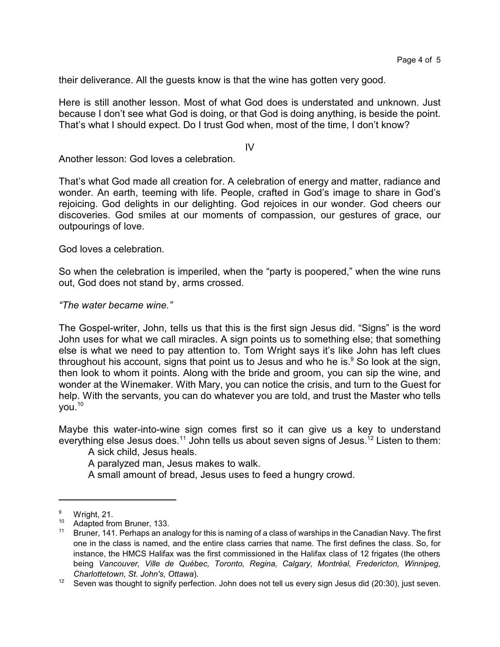their deliverance. All the guests know is that the wine has gotten very good.

Here is still another lesson. Most of what God does is understated and unknown. Just because I don't see what God is doing, or that God is doing anything, is beside the point. That's what I should expect. Do I trust God when, most of the time, I don't know?

 $IV$ 

Another lesson: God loves a celebration.

That's what God made all creation for. A celebration of energy and matter, radiance and wonder. An earth, teeming with life. People, crafted in God's image to share in God's rejoicing. God delights in our delighting. God rejoices in our wonder. God cheers our discoveries. God smiles at our moments of compassion, our gestures of grace, our outpourings of love.

God loves a celebration.

So when the celebration is imperiled, when the "party is poopered," when the wine runs out, God does not stand by, arms crossed.

## *"The water became wine."*

The Gospel-writer, John, tells us that this is the first sign Jesus did. "Signs" is the word John uses for what we call miracles. A sign points us to something else; that something else is what we need to pay attention to. Tom Wright says it's like John has left clues throughout his account, signs that point us to Jesus and who he is. $9$  So look at the sign, then look to whom it points. Along with the bride and groom, you can sip the wine, and wonder at the Winemaker. With Mary, you can notice the crisis, and turn to the Guest for help. With the servants, you can do whatever you are told, and trust the Master who tells  $vol.<sup>10</sup>$ 

Maybe this water-into-wine sign comes first so it can give us a key to understand everything else Jesus does.<sup>11</sup> John tells us about seven signs of Jesus.<sup>12</sup> Listen to them:

A sick child, Jesus heals.

A paralyzed man, Jesus makes to walk.

A small amount of bread, Jesus uses to feed a hungry crowd.

 $\frac{9}{10}$  Wright, 21.

 $^{10}$  Adapted from Bruner, 133.

<sup>11</sup> Bruner, 141. Perhaps an analogy for this is naming of a class of warships in the Canadian Navy. The first one in the class is named, and the entire class carries that name. The first defines the class. So, for instance, the HMCS Halifax was the first commissioned in the Halifax class of 12 frigates (the others being *Vancouver, Ville de Québec, Toronto, Regina, Calgary, Montréal, Fredericton, Winnipeg, Charlottetown, St. John's, Ottawa*).

 $12$  Seven was thought to signify perfection. John does not tell us every sign Jesus did (20:30), just seven.